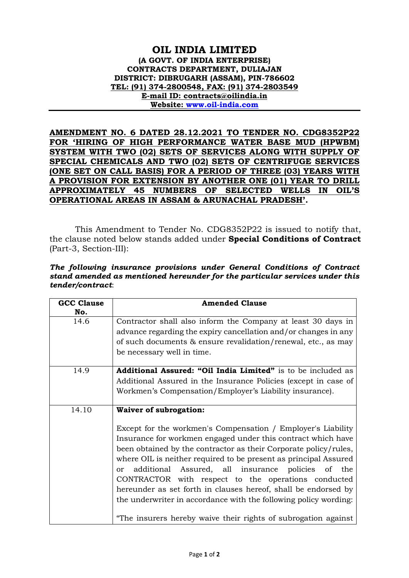## **OIL INDIA LIMITED (A GOVT. OF INDIA ENTERPRISE) CONTRACTS DEPARTMENT, DULIAJAN DISTRICT: DIBRUGARH (ASSAM), PIN-786602 TEL: (91) 374-2800548, FAX: (91) 374-2803549 E-mail ID: contracts@oilindia.in Website: [www.oil-india.com](http://www.oil-india.com/)**

**AMENDMENT NO. 6 DATED 28.12.2021 TO TENDER NO. CDG8352P22 FOR 'HIRING OF HIGH PERFORMANCE WATER BASE MUD (HPWBM) SYSTEM WITH TWO (02) SETS OF SERVICES ALONG WITH SUPPLY OF SPECIAL CHEMICALS AND TWO (02) SETS OF CENTRIFUGE SERVICES (ONE SET ON CALL BASIS) FOR A PERIOD OF THREE (03) YEARS WITH A PROVISION FOR EXTENSION BY ANOTHER ONE (01) YEAR TO DRILL APPROXIMATELY 45 NUMBERS OF SELECTED WELLS IN OIL'S OPERATIONAL AREAS IN ASSAM & ARUNACHAL PRADESH'.**

This Amendment to Tender No. CDG8352P22 is issued to notify that, the clause noted below stands added under **Special Conditions of Contract** (Part-3, Section-III):

|                  |  |  | The following insurance provisions under General Conditions of Contract     |  |
|------------------|--|--|-----------------------------------------------------------------------------|--|
|                  |  |  | stand amended as mentioned hereunder for the particular services under this |  |
| tender/contract: |  |  |                                                                             |  |

| <b>GCC Clause</b> | <b>Amended Clause</b>                                                                                                                                                                                                                                                                                                                                                                                                                                                                                                                   |  |  |  |  |  |
|-------------------|-----------------------------------------------------------------------------------------------------------------------------------------------------------------------------------------------------------------------------------------------------------------------------------------------------------------------------------------------------------------------------------------------------------------------------------------------------------------------------------------------------------------------------------------|--|--|--|--|--|
| No.               |                                                                                                                                                                                                                                                                                                                                                                                                                                                                                                                                         |  |  |  |  |  |
| 14.6              | Contractor shall also inform the Company at least 30 days in                                                                                                                                                                                                                                                                                                                                                                                                                                                                            |  |  |  |  |  |
|                   | advance regarding the expiry cancellation and/or changes in any                                                                                                                                                                                                                                                                                                                                                                                                                                                                         |  |  |  |  |  |
|                   | of such documents & ensure revalidation/renewal, etc., as may                                                                                                                                                                                                                                                                                                                                                                                                                                                                           |  |  |  |  |  |
|                   | be necessary well in time.                                                                                                                                                                                                                                                                                                                                                                                                                                                                                                              |  |  |  |  |  |
| 14.9              | <b>Additional Assured: "Oil India Limited"</b> is to be included as                                                                                                                                                                                                                                                                                                                                                                                                                                                                     |  |  |  |  |  |
|                   | Additional Assured in the Insurance Policies (except in case of                                                                                                                                                                                                                                                                                                                                                                                                                                                                         |  |  |  |  |  |
|                   | Workmen's Compensation/Employer's Liability insurance).                                                                                                                                                                                                                                                                                                                                                                                                                                                                                 |  |  |  |  |  |
| 14.10             | <b>Waiver of subrogation:</b>                                                                                                                                                                                                                                                                                                                                                                                                                                                                                                           |  |  |  |  |  |
|                   | Except for the workmen's Compensation / Employer's Liability<br>Insurance for workmen engaged under this contract which have<br>been obtained by the contractor as their Corporate policy/rules,<br>where OIL is neither required to be present as principal Assured<br>additional Assured, all insurance policies of the<br><sub>or</sub><br>CONTRACTOR with respect to the operations conducted<br>hereunder as set forth in clauses hereof, shall be endorsed by<br>the underwriter in accordance with the following policy wording: |  |  |  |  |  |
|                   | "The insurers hereby waive their rights of subrogation against                                                                                                                                                                                                                                                                                                                                                                                                                                                                          |  |  |  |  |  |